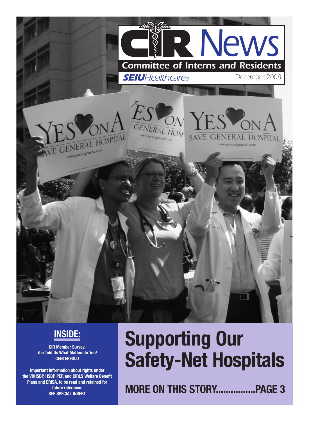

## **INSIDE:**

**CIR Member Survey: You Told Us What Matters to You! CENTERFOLD**

**Important information about rights under the VHHSBP, HSBP, PEP, and CIRLS Welfare Benefit Plans and ERISA, to be read and retained for future reference. SEE SPECIAL INSERT**

# **Supporting Our Safety-Net Hospitals**

**MORE ON THIS STORY................PAGE 3**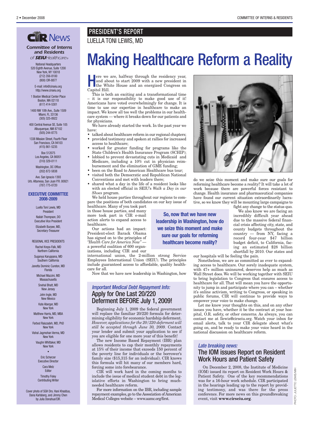## **CHR NEWS** LUELLA TONI LEWIS, MD

*Committee of Interns and Residents*

National Headquarters *of SEIUHealthcare®*

520 Eighth Avenue, Suite 1200 New York, NY 10018 (212) 356-8100 (800) CIR-8877

E-mail: info@cirseiu.org http://www.cirseiu.org

1 Boston Medical Center Place Boston, MA 02118 (617) 414-5301

1400 NW 10th Ave., Suite 1509 Miami, FL 33136 (305) 325-8922

400 Central Avenue SE, Suite 105 Albuquerque, NM 87102 (505) 244-8775

1338 Mission Street, Fourth Floor San Francisco, CA 94103 (415) 861-5235

> Box 512075 Los Angeles, CA 90051 (310) 329-0111

Washington, DC Office (202) 872-5838

Ave. San Ignacio 1393 Urb. Altamesa, San Juan P.R. 00921 (787) 775-0720

#### **EXECUTIVE COMMITTEE 2008-2009**

Luella Toni Lewis, MD President Nailah Thompson, DO Executive Vice President Elizabeth Burpee, MD,

Secretary-Treasurer REGIONAL VICE PRESIDENTS

Rachel Kreps-Falk, MD Northern California

Suganya Karuppana, MD Southern California

Janetta Dominic Cureton, MD Florida

Michael Mazzini, MD **Massachusetts** 

Snehal Bhatt, MD

New Jersey John Ingle, MD

New Mexico

Kate Aberger, MD New York

Matthew Harris, MD, MBA New York

Farbod Raiszadeh, MD, PhD New York

Vishal Jagmohan Verma, MD New York

> Vaughn Whittaker, MD New York

#### • Eric Scherzer

Executive Director Cara Metz

Editor

Timothy Foley Contributing Writer

Cover photo of SGH Drs. Hani Khaddus, Dana Karlsberg, and Jimmy Chen by Julia Donahue/CIR.

## PRESIDENT'S REPORT

# Making Healthcare Reform a Reality

ere we are, halfway through the residency year, and about to start 2009 with a new president in the White House and an energized Congress on Capitol Hill.

This is both an exciting and a transformational time – it is our responsibility to make good use of it! Americans have voted overwhelmingly for change. It is time to use our expertise in healthcare to make an impact. We know all too well the problems in our healthcare system — where it breaks down for our patients and for physicians.

We have already started the work. In the past year we have:

- talked about healthcare reform in our regional chapters;
- provided testimony and spoken at rallies for increased access to healthcare;
- worked for greater funding for programs like the State Children's Health Insurance Program (SCHIP);
- lobbied to prevent devastating cuts in Medicaid and Medicare, including a 10% cut in physician reimbursement and the elimination of GME funding;
- been on the Road to American Healthcare bus tour;
- visited both the Democratic and Republican National Conventions and met with leaders there;
- shared what a day in the life of a resident looks like with an elected official in SEIU's *Walk a Day in our Shoes* program.

We held house parties throughout our regions to compare the positions of both candidates on our key issue of healthcare. Many of you took part

in those house parties, and many more took part in CIR e-mail action alerts to expand access to healthcare.

Our actions had an impact: President-elect Barack Obama has signed on to the principles of *"Health Care for America Now"* a powerful coalition of 600 organizations, including CIR and our

international union, the 2-million strong Service Employees International Union (SEIU). The principles include guaranteed access to affordable, quality healthcare for all.

Now that we have new leadership in Washington, how

### *Important Medical Debt Repayment Info:* Apply for One Last 20/220 Deferment BEFORE July 1, 2009!

Beginning July 1, 2009 the federal government will replace the familiar 20/220 formula for determining eligibility for economic hardship deferment. *However, applications for the 20/220 deferment will still be accepted through June 30, 2009.* Contact your lender and submit your application to see if you are eligible for one more year of this benefit!

The new Income Based Repayment (IBR) plan allows residents to cap their monthly repayments at 15% of their income that exceeds 150 percent of the poverty line for individuals or the borrower's family size (\$15,315 for an individual). CIR knows this formula will hit many of our members hard, forcing some into forebearance.

CIR will work hard in the coming months to include the issue of medical student debt in the legislative efforts in Washington to bring muchneeded healthcare reform.

For more information on the IBR, including sample repayment examples, go to the Association of American Medical Colleges website – www.aamc.org/first.

**So, now that we have new leadership in Washington, how do we seize this moment and make sure our goals for reforming healthcare become reality?**

do we seize this moment and make sure our goals for

reforming healthcare become a reality? It will take a lot of work because there are powerful forces resistant to change. Health insurance and pharmaceutical companies have found our current situation extraordinarily lucrative, so we know they will be mounting large campaigns to

fight any change to the status quo.

We also know we are facing an incredibly difficult year ahead due to the massive federal financial crisis affecting city, state, and county budgets throughout the country — from NY, facing a record four-year \$47 billion budget deficit, to California, facing an estimated \$28 billion shortfall by 2010. Our states and

our hospitals will be feeling the pain.

Nonetheless, we are as committed as ever to expanding access to healthcare. Our sorely inadequate system, with 47+ million uninsured, deserves help as much as Wall Street does. We will be working together with SEIU to bring legislation to Congress that ensures access to healthcare for all. That will mean you have the opportunity to jump in and participate where you can – whether it's online activism, writing to Congress, or speaking in public forums, CIR will continue to provide ways to empower your voice to make change.

Let me know your thoughts on this, and on any other issues you have, whether it be the contract at your hospital, O.R. safety, or other concerns. As always, you can contact me at llewis@cirseiu.org. Watch your inbox for email alerts, talk to your CIR delegate about what's going on, and be ready to make your voice heard in the national discussion on healthcare reform.

#### *Late breaking news:*

### The IOM issues Report on Resident Work Hours and Patient Safety

On December 2, 2008, the Institute of Medicine (IOM) issued its report on Resident Work Hours & Patient Safety. One of the key recommendations was for a 16-hour work schedule. CIR participated in the hearings leading up to the report by providing testimony, and was there for the press conference. For more news on this groundbreaking event, visit **www.cirseiu.org**.

PHOTO: JULIETTE LEWIS/MIH

PHOTO: JULIETTE LEWIS/MI-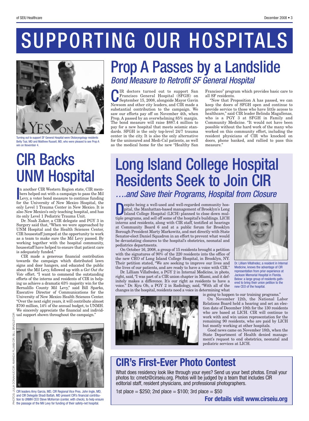# SUPPORTING OUR HOSPITALS



Turning out to support SF General Hospital were Otolaryngology residents Betty Tsai, MD and Matthew Russell, MD, who were pleased to see Prop A win on November 4.

# CIR Backs UNM Hospital

In another CIR Western Region state, CIR members helped out with a campaign to pass the Mil Levy, a voter bond measure to continue funding<br>for the University of New Meyico Hespital, the n another CIR Western Region state, CIR members helped out with a campaign to pass the Mil for the University of New Mexico Hospital, the only Level 1 Trauma Center in New Mexico. It is also New Mexico's only teaching hospital, and has its only Level 1 Pediatric Trauma Unit.

Dr. Noah Zuker, a CIR delegate and PGY 3 in Surgery said that, "When we were approached by UNM Hospital and the Health Sciences Center, CIR housestaff jumped at the opportunity to work as a team to make sure the Mil Levy passed. By working together with the hospital community, housestaff have helped to ensure that patient care is adequately funded."

CIR made a generous financial contribution towards the campaign which distributed lawn signs and door hangers, and educated the public about the Mil Levy, followed up with a *Get Out the Vote* effort. "I want to commend the outstanding efforts of the interns and residents of CIR in helping us achieve a dramatic 63% majority win for the Bernalillo County Mil Levy," said Bill Sparks, Executive Director of Communications for the University of New Mexico Health Sciences Center. "Over the next eight years, it will contribute almost \$700 million, 14% of the annual budget, to UNMH. We sincerely appreciate the financial and individ- $\frac{\alpha}{\mathbb{S}}$  ual support shown throughout the campaign."



CIR leaders Amy Garcia, MD, CIR Regional Vice Pres. John Ingle, MD, and CIR Delegate Shadi Battah, MD present CIR's financial contribution to UNMH CEO Steve McKerran (center, with check), to help ensure  $\pm$  the passage of the Mil Levy for funding of their safety-net hospital.

# Prop A Passes by a Landslide *Bond Measure to Retrofit SF General Hospital*

CIR doctors turned out to support San September 15, 2008, alongside Mayor Gavin Francisco General Hospital (SFGH) on Newsom and other city leaders, and CIR made a substantial contribution to the campaign. We saw our efforts pay off on November 4th, when Prop. A passed by an overwhelming 85% margin. The bond measure will raise \$887.4 million to pay for a new hospital that meets seismic standards. SFGH is the only top-level 24/7 trauma center in the city. It is also the only alternative for the uninsured and Medi-Cal patients, as well as the medical home for the new "Healthy San

Francisco" program which provides basic care to all SF residents.

"Now that Proposition A has passed, we can keep the doors of SFGH open and continue to provide service to those who have little access to healthcare," said CIR leader Belinda Magallenas, who is a PGY 3 at SFGH in Family and Community Medicine. "It would not have been possible without the hard work of the many who worked on this community effort, including the resident physicians of CIR who knocked on doors, phone banked, and rallied to pass this measure."

# Long Island College Hospital Residents Seek to Join CIR *….and Save their Programs, Hospital from Closure*

Expite being a well-used and well-regarded community hos-<br>pital, the Manhattan-based management of Brooklyn's Long<br>Island College Hospital (LICH) planned to close down mul-<br>tiple programs and sell off some of the beautel's pital, the Manhattan-based management of Brooklyn's Long Island College Hospital (LICH) planned to close down multiple programs, and sell off some of the hospital's buildings. LICH interns and residents, along with CIR staff, testified at hearings at Community Board 6 and at a public forum for Brooklyn Borough President Marty Markowitz, and met directly with State Senator-elect Daniel Squadron in an effort to prevent what would be devastating closures to the hospital's obstetrics, neonatal and pediatrics departments.

On October 16, 2008, a group of 15 residents brought a petition with the signatures of 90% of the 220 residents into the office of the new CEO of Long Island College Hospital, in Brooklyn, NY. Their petition stated, "We are seeking to improve our lives and the lives of our patients, and are ready to have a voice with CIR."

Dr. Lilliam Villafredez, a PGY 2 in Internal Medicine, in photo, right, said, "I was part of a CIR union chapter in Miami, and it definitely makes a difference. It's our right as residents to have a voice." Dr. Kyu Oh, a PGY 2 in Radiology, said, "With all of the changes in the hospital, residents need a voice in determining what





Dr. Lilliam Villafredez, a resident in Internal Medicine, knows the advantage of CIR representation from prior experience at Jackson Memorial Hospital in Florida. Below: a large group of residents gathered to bring their union petition to the new CEO of the hospital.

is going to happen to our training programs."

On November 12th, the National Labor Relations Board held a hearing and set an election date of December 10th for the 130 residents who are based at LICH. CIR will continue to work with and win union representation for the remaining 90 residents, who are paid by LICH but mostly working at other hospitals.

Good news came on November 18th, when the State Department of Health denied management's request to end obstetrics, neonatal and pediatric services at LICH.

## **CIR's First-Ever Photo Contest**

What does residency look like through your eyes? Send us your best photos. Email your photos to: cmetz@cirseiu.org. Photos will be judged by a team that includes CIR editorial staff, resident physicians, and professional photographers.

1st place  $=$  \$250; 2nd place  $=$  \$100; 3rd place  $=$  \$50

**For details visit www.cirseiu.org**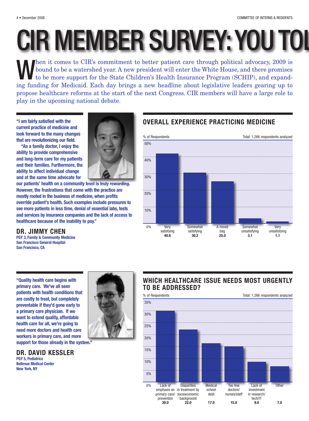# CIR MEMBER SURVEY:YOU TOL

When it comes to CIR's commitment to better patient care through political advocacy, 2009 is<br>bound to be a watershed year. A new president will enter the White House, and there promises<br>to be more support for the State Chi bound to be a watershed year. A new president will enter the White House, and there promises to be more support for the State Children's Health Insurance Program (SCHIP), and expanding funding for Medicaid. Each day brings a new headline about legislative leaders gearing up to propose healthcare reforms at the start of the next Congress. CIR members will have a large role to play in the upcoming national debate.

**"I am fairly satisfied with the current practice of medicine and look forward to the many changes that are revolutionizing our field.**

**"As a family doctor, I enjoy the ability to provide comprehensive and long-term care for my patients and their families. Furthermore, the ability to affect individual change and at the same time advocate for**

**our patients' health on a community level is truly rewarding. However, the frustrations that come with the practice are mostly rooted in the business of medicine, when profits override patient's health. Such examples include pressures to see more patients in less time, denial of essential labs, tests and services by insurance companies and the lack of access to healthcare because of the inability to pay."**

### **DR. JIMMY CHEN**

**PGY 3, Family & Community Medicine San Francisco General Hospital San Francisco, CA**

**"Quality health care begins with primary care. We've all seen patients with health conditions that are costly to treat, but completely preventable if they'd gone early to a primary care physician. If we want to extend quality, affordable health care for all, we're going to need more doctors and health care workers in primary care, and more**

**support for those already in the system."**

## **DR. DAVID KESSLER**

**PGY 5, Pediatrics Bellevue Medical Center New York, NY**



**OVERALL EXPERIENCE PRACTICING MEDICINE**

## **WHICH HEALTHCARE ISSUE NEEDS MOST URGENTLY TO BE ADDRESSED?**

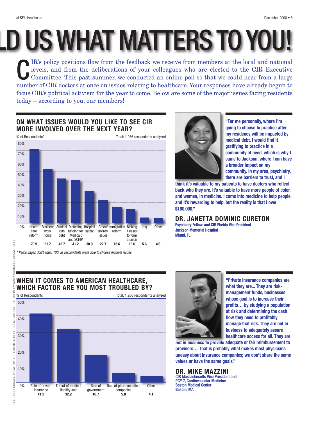#### of SEIU Healthcare December 2008 • 5

LD US WHAT MATTERS TO YOU!

C IR's policy positions flow from the feedback we receive from members at the local and national levels, and from the deliberations of your colleagues who are elected to the CIR Executive Committee. This past summer, we conducted an online poll so that we could hear from a large number of CIR doctors at once on issues relating to healthcare. Your responses have already begun to focus CIR's political activism for the year to come. Below are some of the major issues facing residents today – according to you, our members!

## **ON WHAT ISSUES WOULD YOU LIKE TO SEE CIR MORE INVOLVED OVER THE NEXT YEAR?**



*\* Percentages don't equal 100, as respondents were able to choose multiple issues.*

SVART

УH<br>Н

PHOTOGR

**SHE** PAGE

В.

**"For me personally, where I'm going to choose to practice after my residency will be impacted by medical debt. I would find it gratifying to practice in a community of need, which is why I came to Jackson, where I can have a broader impact on my community. In my area, psychiatry, there are barriers to trust, and I**

**think it's valuable to my patients to have doctors who reflect back who they are. It's valuable to have more people of color, and women, in medicine. I came into medicine to help people, and it's rewarding to help, but the reality is that I owe \$100,000."**

**DR. JANETTA DOMINIC CURETON**

**Psychiatry Fellow, and CIR Florida Vice President Jackson Memorial Hospital Miami, FL**

## **WHEN IT COMES TO AMERICAN HEALTHCARE, WHICH FACTOR ARE YOU MOST TROUBLED BY?**





**"Private insurance companies are what they are... They are riskmanagement funds, businesses whose goal is to increase their profits… by studying a population at risk and determining the cash flow they need to profitably manage that risk. They are not in business to adequately assure healthcare access for all. They are**

**not in business to provide adequate or fair reimbursement to providers… That is probably what makes most physicians uneasy about insurance companies; we don't share the same values or have the same goals."**

**DR. MIKE MAZZINI CIR Massachusetts Vice President and PGY 7, Cardiovascular Medicine Boston Medical Center Boston, MA**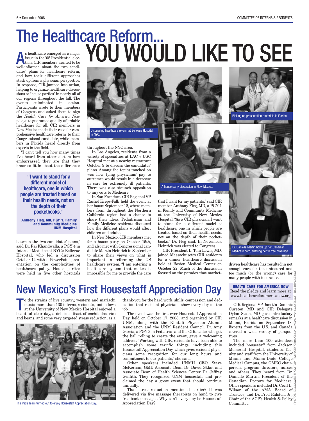## s healthcare emerged as a major<br>issue in the '08 Presidential elec-<br>tion, CIR members wanted to be<br>well informed, about, the two conditions issue in the '08 Presidential election, CIR members wanted to be The Healthcare Reform... YOU WOULD LIKE TO SEE

well-informed about the two candidates' plans for healthcare reform, and how their different approaches stack up from a physician perspective. In response, CIR jumped into action, helping to organize healthcare discussions or "house parties" in nearly all of our regions throughout the fall. The events culminated in action. Participants wrote to their members of Congress and asked them to sign the *Health Care for America Now* pledge to guarantee quality, affordable healthcare for all. CIR members in New Mexico made their case for comprehensive healthcare reform to their Congressional candidate, while members in Florida heard directly from experts in the field.

"I can't tell you how many times I've heard from other doctors how embarrassed they are that they know so little about the differences

**"I want to stand for a different model of healthcare, one in which people are treated based on their health needs, not on the depth of their pocketbooks."**

**Anthony Fleg, MD, PGY 1, Family and Community Medicine UNM Hospital**

between the two candidates' plans," said Dr. Raj Khandwalla, a PGY 4 in Internal Medicine at NYC's Bellevue Hospital, who led a discussion October 14 with a PowerPoint presentation on the complexities of healthcare policy. House parties were held in five other hospitals





Picking up presentation materials in Florida.

in NYC.

throughout the NYC area.

In Los Angeles, residents from a variety of specialties at LAC + USC Hospital met at a nearby restaurant October 9 to discuss the candidates' plans. Among the topics touched on was how tying physicians' pay to outcomes would result in a decrease in care for extremely ill patients. There was also staunch opposition to any cuts to Medicare.

In San Francisco, CIR Regional VP Rachel Kreps-Falk held the event at her house September 12, where members from throughout the Northern California region had a chance to share their ideas. Pediatrician and Family Medicine residents discussed how the different plans would affect children and adults.

In New Mexico, CIR members met for a house party on October 15th, and also met with Congressional candidate Martin Heinrich in September to share their views on what is important in reforming the US healthcare system. "I am entering a healthcare system that makes it impossible for me to provide the care

that I want for my patients," said CIR member Anthony Fleg, MD, a PGY 1 in Family and Community Medicine

A house party discussion in New Mexico.

at the University of New Mexico Hospital. "As a CIR physician, I want to stand for a different model of healthcare, one in which people are treated based on their health needs, not on the depth of their pocketbooks," Dr. Fleg said. In November, Heinrich was elected to Congress.

CIR President L. Toni Lewis, MD, joined Massachusetts CIR residents for a dinner healthcare discussion held at Boston Medical Center on October 22. Much of the discussion focused on the paradox that market-



Medicare card, entitling her to free coverage.

driven healthcare has resulted in not enough care for the uninsured and too much (or the wrong) care for  $\frac{d}{dx}$ many people with insurance.

**HEALTH CARE FOR AMERICA NOW** Read the pledge and learn more at  $\frac{1}{\overline{a}}$ 

옮

www.healthcareforamericanow.org

CIR Regional VP Janetta Dominic Cureton, MD and CIR Delegate Dylan Steen, MD gave introductory  $\mathbb{R}$ remarks at a healthcare discussion in Miami, Florida on September 18. Experts from the U.S. and Canada covered a wide variety of perspec- $\frac{3}{2}$ tives.

The more than 100 attendees included housestaff from Jackson Memorial Hospital, students, fac- $\frac{6}{6}$ ulty and staff from the University of  $\equiv$ Miami and Miami-Dade College $\geq$ Medical Campus, the GMEC chair- $\frac{2}{5}$ person, program directors, nurses and others. They heard from Dr. and others.  $1.12$ ,  $1.12$ ,  $1.12$ ,  $1.12$ ,  $1.12$ ,  $1.12$ ,  $1.12$ ,  $1.12$ ,  $1.12$ ,  $1.12$ ,  $1.12$ ,  $1.12$ ,  $1.12$ ,  $1.12$ ,  $1.12$ ,  $1.12$ ,  $1.12$ ,  $1.12$ ,  $1.12$ ,  $1.12$ ,  $1.12$ ,  $1.12$ ,  $1.12$ ,  $1.12$ ,  $1.12$ ,  $1.12$ , Canadian Doctors for Medicare. Other speakers included Dr. Cecil B. Wilson of the AMA Board of Trustees; and Dr. Fred Ralston, Jr.,  $\ddot{\text{g}}$ Chair of the ACP's Health & Policy  $\frac{6}{9}$ Committee. PHOTOS: (CLOCKWISE FROM TOP) TIM FLOEY/CIR; DONNA GUNDAL; VAN NGUYEN/CIR; BILL BRADLEY/CIR

## New Mexico's First Housestaff Appreciation Day

o the strains of live country, western and mariachi music, more than 130 interns, residents, and fellows at the University of New Mexico Hospital enjoyed a beautiful clear day, a delicious feast of enchiladas, rice o the strains of live country, western and mariachi music, more than 130 interns, residents, and fellows at the University of New Mexico Hospital enjoyed a and beans, and some very targeted stress reduction, as a



The Peds Team turned out to enjoy Housestaff Appreciation Day. Appreciation Day?

thank-you for the hard work, skills, compassion and dedication that resident physicians show every day on the job.

The event was the first-ever Housestaff Appreciation Day, held on October 17, 2008, and organized by CIR UNM, along with the Khatali Physician Alumni Association and the UNM Resident Council. Dr. Amy Garcia, a PGY 3 in Pediatrics and the CIR leader who got the ball rolling to create the event, gave a welcoming address. "Working with CIR, residents have been able to accomplish some terrific things, including this Housestaff Appreciation Day, which gives resident physicians some recognition for our long hours and commitment to our patients," she said.

Other speakers included UNMH CEO Steve McKernan, GME Associate Dean Dr. David Sklar, and Associate Dean of Health Sciences Center Dr. Jeffrey Griffith. They recognized UNM housestaff and proclaimed the day a great event that should continue annually.

That stress-reduction mentioned earlier? It was delivered via five massage therapists on hand to give free back massages. Why can't every day be Housestaff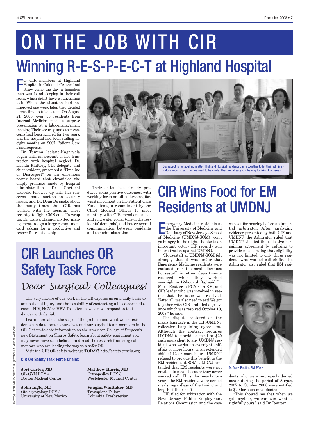# ON THE JOB WITH CIR Winning R-E-S-P-E-C-T at Highland Hospital

or CIR members at Highland<br>Hospital, in Oakland, CA, the final<br>straw came the day a homeless Hospital, in Oakland, CA, the final straw came the day a homeless man was found sleeping in their call room, which didn't have a functioning lock. When the situation had not improved one week later, they decided it was time to take action! On August 21, 2008, over 35 residents from Internal Medicine made a surprise presentation at a labor-management meeting. Their security and other concerns had been ignored for two years, and the hospital had been stalling for eight months on 2007 Patient Care Fund requests.

Dr. Tamina Isolano-Nagarvala began with an account of her frustration with hospital neglect. Dr. Davida Flattery, CIR delegate and chief resident, presented a "Timeline of Disrespect" on an enormous poster board that chronicled the empty promises made by hospital administration. Dr. Chetachi Okereke followed up with her concerns about inaction on security issues, and Dr. Doug Do spoke about the many times that CIR has worked with the hospital, most recently to fight CMS cuts. To wrap up, Dr. Tanya Hamidi invited management to sign a large commitment card asking for a productive and respectful relationship.



Their action has already produced some positive outcomes, with working locks on all call-rooms, forward movement on the Patient Care Fund items, a commitment by the Chief Medical Officer to meet monthly with CIR members, a hot and cold water cooler (one of the residents' demands), and better overall communication between residents and the administration.

# CIR Launches OR Safety Task Force *Dear Surgical Colleagues!*

The very nature of our work in the OR exposes us on a daily basis to occupational injury and the possibility of contracting a blood-borne disease – HIV, HCV or HBV. Too often, however, we respond to that danger with denial.

Learn more about the scope of the problem and what we as residents can do to protect ourselves and our surgical team members in the OR. Get up-to-date information on the American College of Surgeon's new Statement on Sharps Safety, learn about safety equipment you may never have seen before – and read the research from surgical mentors who are leading the way to a safer OR.

Visit the CIR OR safety webpage TODAY! http://safety.cirseiu.org.

**CIR OR Safety Task Force Chairs:**

**Jori Carter, MD Matthew Harris, MD** OB-GYN PGY 4 Orthopedics PGY 3

**John Ingle, MD Vaughn Whittaker, MD** Otolaryngology PGY 3 Transplant Fellow University of New Mexico Columbia Presbyterian

Boston Medical Center Westchester Medical Center

# CIR Wins Food for EM Residents at UMDNJ

mergency Medicine residents at<br>the University of Medicine and<br>Dentistry of New Jersey - School the University of Medicine and Dentistry of New Jersey - School of Medicine (UMDNJ-SOM) won't go hungry in the night, thanks to an important victory CIR recently won in arbitration against UMDNJ.

"Housestaff at UMDNJ-SOM felt strongly that it was unfair that Emergency Medicine residents were excluded from the meal allowance housestaff in other departments received when they worked overnight or 12-hour shifts," said Dr. Mark Reutter, a PGY 4 in EM, and CIR leader who was involved in seeing that the issue was resolved. "After all, we also need to eat! We got together with CIR and filed a grievance which was resolved October 10, 2008," he said.

The dispute centered on the meals language in the CIR-UMDNJ collective bargaining agreement. Although the contract requires UMDNJ to provide a meal or \$20 cash equivalent to any UMDNJ resident who works an overnight shift of six or more hours, or an extended shift of 12 or more hours, UMDNJ refused to provide this benefit to the EM residents at SOM. UMDNJ contended that EM residents were not entitled to meals because they never worked call. Thus, for nearly two years, the EM residents were denied meals, regardless of the timing and length of their shift.

CIR filed for arbitration with the New Jersey Public Employment Relations Commission and the case was set for hearing before an impartial arbitrator. After analyzing evidence presented by both CIR and UMDNJ, the Arbitrator ruled that UMDNJ violated the collective bargaining agreement by refusing to provide meals, ruling that eligibility was not limited to only those residents who worked call shifts. The Arbitrator also ruled that EM resi-



Dr. Mark Reutter, EM, PGY 4

dents who were improperly denied meals during the period of August 2007 to October 2008 were entitled to \$20 for each meal denied.

"This showed me that when we get together, we can win what is rightfully ours," said Dr. Reutter.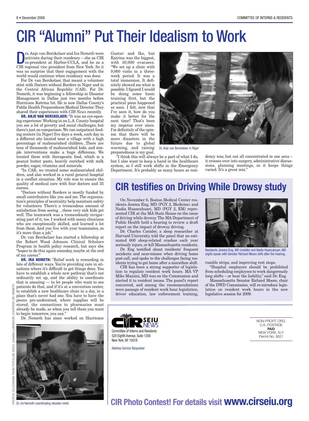# CIR "Alumni" Put Their Idealism to Work

**Prs.** Anje van Berckelaer and Ira Nemeth were<br>activists during their residency – she as CIR<br>co-president at Harbor-UCLA, and he as a<br>CIB regional vise president from New York, So it activists during their residency – she as CIR CIR regional vice president from New York. So it was no surprise that their engagement with the world would continue when residency was done.

For Dr. van Berckelaer, that meant a volunteer stint with Doctors without Borders in Niger and in the Central African Republic (CAR). For Dr. Nemeth, it was beginning a fellowship in Disaster Management in Dallas just two months before Hurricane Katrina hit. He is now Dallas County's Public Health Preparedness Medical Director.They shared their experiences with *CIR News* recently.

**DR. ANJE VAN BERCKELAER:** "It was an eye-opening experience.Working in an L.A. County hospital you see a lot of poverty and social challenges, but there's just no comparison. We ran outpatient feeding centers [in Niger] five days a week, each day in a different site located near a village with a high percentage of malnourished children...There are tens of thousands of malnourished kids, and simple interventions make a huge difference. We treated them with therapeutic food, which is a peanut butter paste, heavily enriched with milk powder, sugar, vitamins and minerals.

"In CAR, we treated some malnourished children, and also worked in a rural general hospital in a conflict situation. My role was to ensure the quality of medical care with four doctors and 35 nurses.

"Doctors without Borders is mostly funded by small contributors like you and me. The organization's principles of neutrality help maintain safety for volunteers. There's a tremendous amount of satisfaction from seeing ...these very sick kids get well. The teamwork was a tremendously invigorating part of it, too. I worked with many clinicians who are exceptionally skilled, and learned a lot from them. And you live with your teammates, so it's more than a job."

Dr. van Berckelaer has started a fellowship at the Robert Wood Johnson Clinical Scholars Program in health policy research, but says she "hopes to do this again someday, maybe at the end of my career."

**DR. IRA NEMETH:** "Relief work is rewarding in lots of different ways. You're providing care in situations where it's difficult to get things done. You have to establish a whole new pathway that's not ordinarily set up, and the ability to coordinate that is amazing — to let people who want to see patients do that, and if it's at a convention center, to establish a new healthcare clinic in a day, in a place that's never had one. You have to have the pieces pre-understood, where supplies will be stored, the connections to pharmacies must already be made, so when you tell them you want to begin tomorrow, you can."

Dr. Nemeth has since worked on Hurricane

EMETH

ΈSΥ

Dr. Ira Nemeth coordinating disaster relief.

Gustav and Ike, but Katrina was the biggest, with 30,000 evacuees. "We set up a clinic with 9,000 visits in a threeweek period. It was a total immersion. It definitely showed me what is possible. I figured I would be doing some basic training first, but the practical piece happened so soon. I felt, now that I've seen it, how do you make it better for the next time? That's been my impetus ever since. I'm definitely of the opinion that there will be more disasters in the future due to global warming, and raising preparedness is my goal.



Dr. Anje van Berckelaer in Niger

"I think this will always be a part of what I do, but I also want to keep a hand in the healthcare system, so I still work shifts in the Emergency Department. It's probably as many hours as residency was, but not all concentrated in one area – it crosses over into surgery, administrative discussions, planning meetings, so it keeps things varied. It's a great mix."

## **CIR testifies on Driving While Drowsy study**

On November 6, Boston Medical Center residents Jessica Eng, MD (PGY 2, Medicine) and Nadia Huancahuari, MD (PGY 2, EM) represented CIR at the MA State House on the issue of driving while drowsy. The MA Department of Public Health held a hearing to review a draft report on the impact of drowsy driving.

Dr. Charles Czeisler, a sleep researcher at Harvard University, told the panel that an estimated 600 sleep-related crashes each year seriously injure, or kill Massachusetts residents.

Dr. Eng testified about residents' frequent accidents and near-misses when driving home post-call, and spoke to the challenges facing residents trying to get home after a marathon shift.

t has been a strong supporter of legisla-<br>"Hospital employers should be prohibited" tion to regulate resident work hours. MA VP CIR has been a strong supporter of legisla-Mike Mazzini, MD was on the Commission and alerted it to resident issues. The panel's report concurred, and among the recommendations were passage of resident work hour legislation, driver education, law enforcement training,



Residents Jessica Eng, MD (middle) and Nadia Huancahuari, MD (right) speak with Senator Richard Moore (left) after the hearing.

Compariso from top: Dr. Dr. Jennifer Zaitz on graduation day with the second and the product of the second 812<br>League day with her day with the second 812; Dr. Jennifer Miller, and the second day of the product of the seco rumble strips, and improving rest stops.

from scheduling employees to work dangerously long shifts – or bear the liability," said Dr. Eng.

Massachusetts Senator Richard Moore, chair of the DWD Commission, will re-introduce legislation on resident work hours in the new legislative session for 2009.

> NON-PROFIT ORG. U.S. POSTAGE **PAID** NEW YORK, N.Y. Permit No. 9621



Committee of Interns and Residents 520 Eighth Avenue, Suite 1200 New York, NY 10018

Address Service Requested